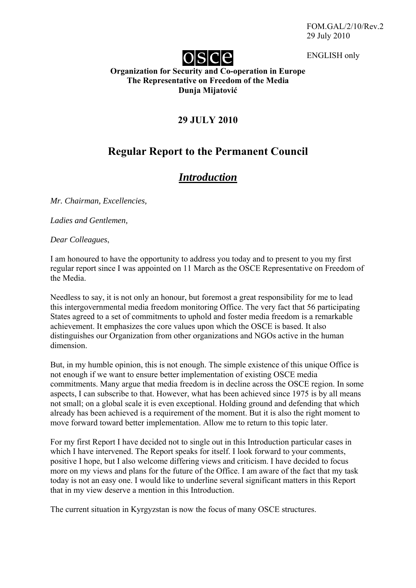FOM.GAL/2/10/Rev.2 29 July 2010

ENGLISH only



### **Organization for Security and Co-operation in Europe The Representative on Freedom of the Media Dunja Mijatović**

# **29 JULY 2010**

# **Regular Report to the Permanent Council**

# *Introduction*

*Mr. Chairman, Excellencies,* 

*Ladies and Gentlemen,* 

*Dear Colleagues*,

I am honoured to have the opportunity to address you today and to present to you my first regular report since I was appointed on 11 March as the OSCE Representative on Freedom of the Media.

Needless to say, it is not only an honour, but foremost a great responsibility for me to lead this intergovernmental media freedom monitoring Office. The very fact that 56 participating States agreed to a set of commitments to uphold and foster media freedom is a remarkable achievement. It emphasizes the core values upon which the OSCE is based. It also distinguishes our Organization from other organizations and NGOs active in the human dimension.

But, in my humble opinion, this is not enough. The simple existence of this unique Office is not enough if we want to ensure better implementation of existing OSCE media commitments. Many argue that media freedom is in decline across the OSCE region. In some aspects, I can subscribe to that. However, what has been achieved since 1975 is by all means not small; on a global scale it is even exceptional. Holding ground and defending that which already has been achieved is a requirement of the moment. But it is also the right moment to move forward toward better implementation. Allow me to return to this topic later.

For my first Report I have decided not to single out in this Introduction particular cases in which I have intervened. The Report speaks for itself. I look forward to your comments, positive I hope, but I also welcome differing views and criticism. I have decided to focus more on my views and plans for the future of the Office. I am aware of the fact that my task today is not an easy one. I would like to underline several significant matters in this Report that in my view deserve a mention in this Introduction.

The current situation in Kyrgyzstan is now the focus of many OSCE structures.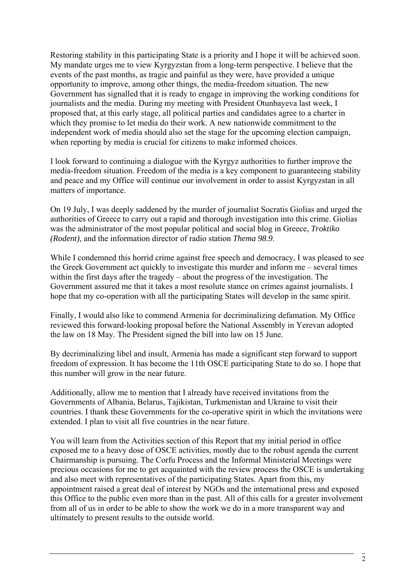Restoring stability in this participating State is a priority and I hope it will be achieved soon. My mandate urges me to view Kyrgyzstan from a long-term perspective. I believe that the events of the past months, as tragic and painful as they were, have provided a unique opportunity to improve, among other things, the media-freedom situation. The new Government has signalled that it is ready to engage in improving the working conditions for journalists and the media. During my meeting with President Otunbayeva last week, I proposed that, at this early stage, all political parties and candidates agree to a charter in which they promise to let media do their work. A new nationwide commitment to the independent work of media should also set the stage for the upcoming election campaign, when reporting by media is crucial for citizens to make informed choices.

I look forward to continuing a dialogue with the Kyrgyz authorities to further improve the media-freedom situation. Freedom of the media is a key component to guaranteeing stability and peace and my Office will continue our involvement in order to assist Kyrgyzstan in all matters of importance.

On 19 July, I was deeply saddened by the murder of journalist Socratis Giolias and urged the authorities of Greece to carry out a rapid and thorough investigation into this crime. Giolias was the administrator of the most popular political and social blog in Greece, *Troktiko (Rodent)*, and the information director of radio station *Thema 98.9*.

While I condemned this horrid crime against free speech and democracy, I was pleased to see the Greek Government act quickly to investigate this murder and inform me – several times within the first days after the tragedy – about the progress of the investigation. The Government assured me that it takes a most resolute stance on crimes against journalists. I hope that my co-operation with all the participating States will develop in the same spirit.

Finally, I would also like to commend Armenia for decriminalizing defamation. My Office reviewed this forward-looking proposal before the National Assembly in Yerevan adopted the law on 18 May. The President signed the bill into law on 15 June.

By decriminalizing libel and insult, Armenia has made a significant step forward to support freedom of expression. It has become the 11th OSCE participating State to do so. I hope that this number will grow in the near future.

Additionally, allow me to mention that I already have received invitations from the Governments of Albania, Belarus, Tajikistan, Turkmenistan and Ukraine to visit their countries. I thank these Governments for the co-operative spirit in which the invitations were extended. I plan to visit all five countries in the near future.

You will learn from the Activities section of this Report that my initial period in office exposed me to a heavy dose of OSCE activities, mostly due to the robust agenda the current Chairmanship is pursuing. The Corfu Process and the Informal Ministerial Meetings were precious occasions for me to get acquainted with the review process the OSCE is undertaking and also meet with representatives of the participating States. Apart from this, my appointment raised a great deal of interest by NGOs and the international press and exposed this Office to the public even more than in the past. All of this calls for a greater involvement from all of us in order to be able to show the work we do in a more transparent way and ultimately to present results to the outside world.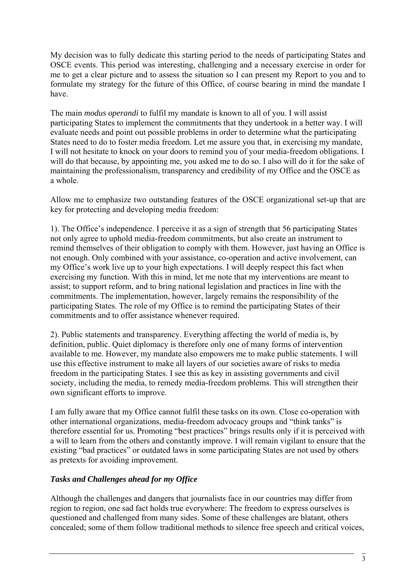My decision was to fully dedicate this starting period to the needs of participating States and OSCE events. This period was interesting, challenging and a necessary exercise in order for me to get a clear picture and to assess the situation so I can present my Report to you and to formulate my strategy for the future of this Office, of course bearing in mind the mandate I have.

The main *modus operandi* to fulfil my mandate is known to all of you. I will assist participating States to implement the commitments that they undertook in a better way. I will evaluate needs and point out possible problems in order to determine what the participating States need to do to foster media freedom. Let me assure you that, in exercising my mandate, I will not hesitate to knock on your doors to remind you of your media-freedom obligations. I will do that because, by appointing me, you asked me to do so. I also will do it for the sake of maintaining the professionalism, transparency and credibility of my Office and the OSCE as a whole.

Allow me to emphasize two outstanding features of the OSCE organizational set-up that are key for protecting and developing media freedom:

1). The Office's independence. I perceive it as a sign of strength that 56 participating States not only agree to uphold media-freedom commitments, but also create an instrument to remind themselves of their obligation to comply with them. However, just having an Office is not enough. Only combined with your assistance, co-operation and active involvement, can my Office's work live up to your high expectations. I will deeply respect this fact when exercising my function. With this in mind, let me note that my interventions are meant to assist; to support reform, and to bring national legislation and practices in line with the commitments. The implementation, however, largely remains the responsibility of the participating States. The role of my Office is to remind the participating States of their commitments and to offer assistance whenever required.

2). Public statements and transparency. Everything affecting the world of media is, by definition, public. Quiet diplomacy is therefore only one of many forms of intervention available to me. However, my mandate also empowers me to make public statements. I will use this effective instrument to make all layers of our societies aware of risks to media freedom in the participating States. I see this as key in assisting governments and civil society, including the media, to remedy media-freedom problems. This will strengthen their own significant efforts to improve.

I am fully aware that my Office cannot fulfil these tasks on its own. Close co-operation with other international organizations, media-freedom advocacy groups and "think tanks" is therefore essential for us. Promoting "best practices" brings results only if it is perceived with a will to learn from the others and constantly improve. I will remain vigilant to ensure that the existing "bad practices" or outdated laws in some participating States are not used by others as pretexts for avoiding improvement.

# *Tasks and Challenges ahead for my Office*

Although the challenges and dangers that journalists face in our countries may differ from region to region, one sad fact holds true everywhere: The freedom to express ourselves is questioned and challenged from many sides. Some of these challenges are blatant, others concealed; some of them follow traditional methods to silence free speech and critical voices,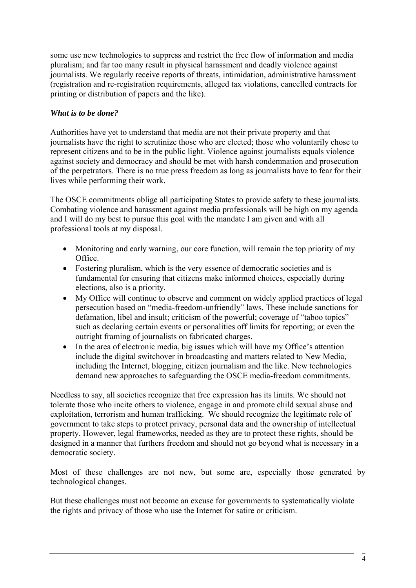some use new technologies to suppress and restrict the free flow of information and media pluralism; and far too many result in physical harassment and deadly violence against journalists. We regularly receive reports of threats, intimidation, administrative harassment (registration and re-registration requirements, alleged tax violations, cancelled contracts for printing or distribution of papers and the like).

### *What is to be done?*

Authorities have yet to understand that media are not their private property and that journalists have the right to scrutinize those who are elected; those who voluntarily chose to represent citizens and to be in the public light. Violence against journalists equals violence against society and democracy and should be met with harsh condemnation and prosecution of the perpetrators. There is no true press freedom as long as journalists have to fear for their lives while performing their work.

The OSCE commitments oblige all participating States to provide safety to these journalists. Combating violence and harassment against media professionals will be high on my agenda and I will do my best to pursue this goal with the mandate I am given and with all professional tools at my disposal.

- Monitoring and early warning, our core function, will remain the top priority of my Office.
- Fostering pluralism, which is the very essence of democratic societies and is fundamental for ensuring that citizens make informed choices, especially during elections, also is a priority.
- My Office will continue to observe and comment on widely applied practices of legal persecution based on "media-freedom-unfriendly" laws. These include sanctions for defamation, libel and insult; criticism of the powerful; coverage of "taboo topics" such as declaring certain events or personalities off limits for reporting; or even the outright framing of journalists on fabricated charges.
- In the area of electronic media, big issues which will have my Office's attention include the digital switchover in broadcasting and matters related to New Media, including the Internet, blogging, citizen journalism and the like. New technologies demand new approaches to safeguarding the OSCE media-freedom commitments.

Needless to say, all societies recognize that free expression has its limits. We should not tolerate those who incite others to violence, engage in and promote child sexual abuse and exploitation, terrorism and human trafficking. We should recognize the legitimate role of government to take steps to protect privacy, personal data and the ownership of intellectual property. However, legal frameworks, needed as they are to protect these rights, should be designed in a manner that furthers freedom and should not go beyond what is necessary in a democratic society.

Most of these challenges are not new, but some are, especially those generated by technological changes.

But these challenges must not become an excuse for governments to systematically violate the rights and privacy of those who use the Internet for satire or criticism.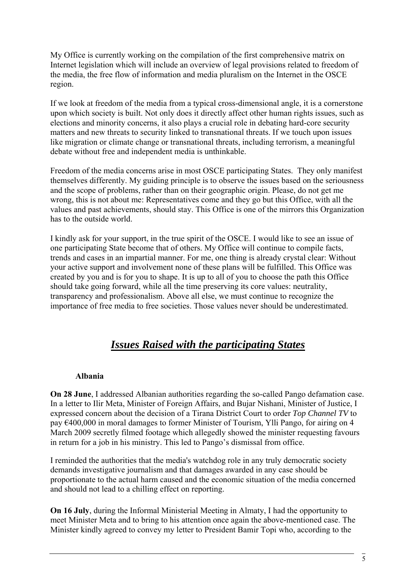My Office is currently working on the compilation of the first comprehensive matrix on Internet legislation which will include an overview of legal provisions related to freedom of the media, the free flow of information and media pluralism on the Internet in the OSCE region.

If we look at freedom of the media from a typical cross-dimensional angle, it is a cornerstone upon which society is built. Not only does it directly affect other human rights issues, such as elections and minority concerns, it also plays a crucial role in debating hard-core security matters and new threats to security linked to transnational threats. If we touch upon issues like migration or climate change or transnational threats, including terrorism, a meaningful debate without free and independent media is unthinkable.

Freedom of the media concerns arise in most OSCE participating States. They only manifest themselves differently. My guiding principle is to observe the issues based on the seriousness and the scope of problems, rather than on their geographic origin. Please, do not get me wrong, this is not about me: Representatives come and they go but this Office, with all the values and past achievements, should stay. This Office is one of the mirrors this Organization has to the outside world.

I kindly ask for your support, in the true spirit of the OSCE. I would like to see an issue of one participating State become that of others. My Office will continue to compile facts, trends and cases in an impartial manner. For me, one thing is already crystal clear: Without your active support and involvement none of these plans will be fulfilled. This Office was created by you and is for you to shape. It is up to all of you to choose the path this Office should take going forward, while all the time preserving its core values: neutrality, transparency and professionalism. Above all else, we must continue to recognize the importance of free media to free societies. Those values never should be underestimated.

# *Issues Raised with the participating States*

### **Albania**

**On 28 June**, I addressed Albanian authorities regarding the so-called Pango defamation case. In a letter to Ilir Meta, Minister of Foreign Affairs, and Bujar Nishani, Minister of Justice, I expressed concern about the decision of a Tirana District Court to order *Top Channel TV* to pay €400,000 in moral damages to former Minister of Tourism, Ylli Pango, for airing on 4 March 2009 secretly filmed footage which allegedly showed the minister requesting favours in return for a job in his ministry. This led to Pango's dismissal from office.

I reminded the authorities that the media's watchdog role in any truly democratic society demands investigative journalism and that damages awarded in any case should be proportionate to the actual harm caused and the economic situation of the media concerned and should not lead to a chilling effect on reporting.

**On 16 July**, during the Informal Ministerial Meeting in Almaty, I had the opportunity to meet Minister Meta and to bring to his attention once again the above-mentioned case. The Minister kindly agreed to convey my letter to President Bamir Topi who, according to the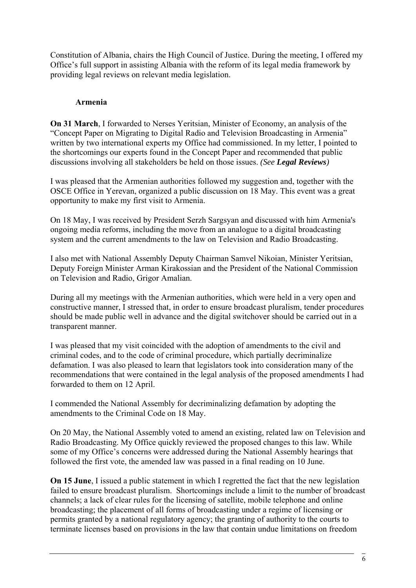Constitution of Albania, chairs the High Council of Justice. During the meeting, I offered my Office's full support in assisting Albania with the reform of its legal media framework by providing legal reviews on relevant media legislation.

### **Armenia**

**On 31 March**, I forwarded to Nerses Yeritsian, Minister of Economy, an analysis of the "Concept Paper on Migrating to Digital Radio and Television Broadcasting in Armenia" written by two international experts my Office had commissioned. In my letter, I pointed to the shortcomings our experts found in the Concept Paper and recommended that public discussions involving all stakeholders be held on those issues. *(See Legal Reviews)*

I was pleased that the Armenian authorities followed my suggestion and, together with the OSCE Office in Yerevan, organized a public discussion on 18 May. This event was a great opportunity to make my first visit to Armenia.

On 18 May, I was received by President Serzh Sargsyan and discussed with him Armenia's ongoing media reforms, including the move from an analogue to a digital broadcasting system and the current amendments to the law on Television and Radio Broadcasting.

I also met with National Assembly Deputy Chairman Samvel Nikoian, Minister Yeritsian, Deputy Foreign Minister Arman Kirakossian and the President of the National Commission on Television and Radio, Grigor Amalian.

During all my meetings with the Armenian authorities, which were held in a very open and constructive manner, I stressed that, in order to ensure broadcast pluralism, tender procedures should be made public well in advance and the digital switchover should be carried out in a transparent manner.

I was pleased that my visit coincided with the adoption of amendments to the civil and criminal codes, and to the code of criminal procedure, which partially decriminalize defamation. I was also pleased to learn that legislators took into consideration many of the recommendations that were contained in the legal analysis of the proposed amendments I had forwarded to them on 12 April.

I commended the National Assembly for decriminalizing defamation by adopting the amendments to the Criminal Code on 18 May.

On 20 May, the National Assembly voted to amend an existing, related law on Television and Radio Broadcasting. My Office quickly reviewed the proposed changes to this law. While some of my Office's concerns were addressed during the National Assembly hearings that followed the first vote, the amended law was passed in a final reading on 10 June.

**On 15 June**, I issued a public statement in which I regretted the fact that the new legislation failed to ensure broadcast pluralism. Shortcomings include a limit to the number of broadcast channels; a lack of clear rules for the licensing of satellite, mobile telephone and online broadcasting; the placement of all forms of broadcasting under a regime of licensing or permits granted by a national regulatory agency; the granting of authority to the courts to terminate licenses based on provisions in the law that contain undue limitations on freedom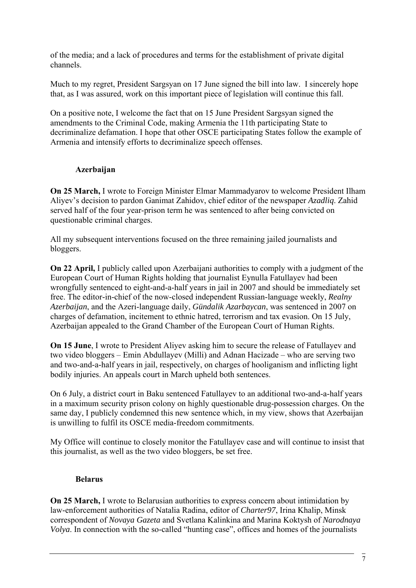of the media; and a lack of procedures and terms for the establishment of private digital channels.

Much to my regret, President Sargsyan on 17 June signed the bill into law. I sincerely hope that, as I was assured, work on this important piece of legislation will continue this fall.

On a positive note, I welcome the fact that on 15 June President Sargsyan signed the amendments to the Criminal Code, making Armenia the 11th participating State to decriminalize defamation. I hope that other OSCE participating States follow the example of Armenia and intensify efforts to decriminalize speech offenses.

# **Azerbaijan**

**On 25 March,** I wrote to Foreign Minister Elmar Mammadyarov to welcome President Ilham Aliyev's decision to pardon Ganimat Zahidov, chief editor of the newspaper *Azadliq*. Zahid served half of the four year-prison term he was sentenced to after being convicted on questionable criminal charges.

All my subsequent interventions focused on the three remaining jailed journalists and bloggers.

**On 22 April,** I publicly called upon Azerbaijani authorities to comply with a judgment of the European Court of Human Rights holding that journalist Eynulla Fatullayev had been wrongfully sentenced to eight-and-a-half years in jail in 2007 and should be immediately set free. The editor-in-chief of the now-closed independent Russian-language weekly, *Realny Azerbaijan*, and the Azeri-language daily, *Gündalik Azarbaycan*, was sentenced in 2007 on charges of defamation, incitement to ethnic hatred, terrorism and tax evasion. On 15 July, Azerbaijan appealed to the Grand Chamber of the European Court of Human Rights.

**On 15 June**, I wrote to President Aliyev asking him to secure the release of Fatullayev and two video bloggers – Emin Abdullayev (Milli) and Adnan Hacizade – who are serving two and two-and-a-half years in jail, respectively, on charges of hooliganism and inflicting light bodily injuries. An appeals court in March upheld both sentences.

On 6 July, a district court in Baku sentenced Fatullayev to an additional two-and-a-half years in a maximum security prison colony on highly questionable drug-possession charges. On the same day, I publicly condemned this new sentence which, in my view, shows that Azerbaijan is unwilling to fulfil its OSCE media-freedom commitments.

My Office will continue to closely monitor the Fatullayev case and will continue to insist that this journalist, as well as the two video bloggers, be set free.

# **Belarus**

**On 25 March,** I wrote to Belarusian authorities to express concern about intimidation by law-enforcement authorities of Natalia Radina, editor of *Charter97*, Irina Khalip, Minsk correspondent of *Novaya Gazeta* and Svetlana Kalinkina and Marina Koktysh of *Narodnaya Volya*. In connection with the so-called "hunting case", offices and homes of the journalists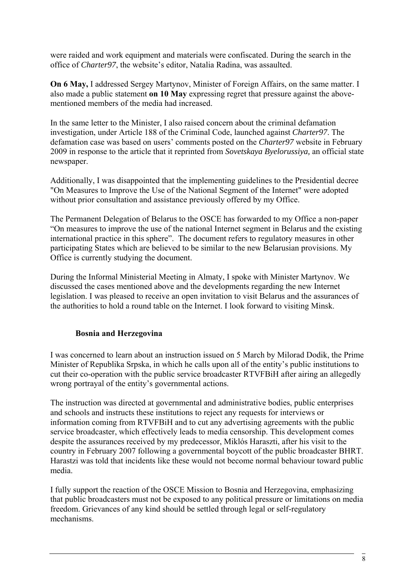were raided and work equipment and materials were confiscated. During the search in the office of *Charter97*, the website's editor, Natalia Radina, was assaulted.

**On 6 May,** I addressed Sergey Martynov, Minister of Foreign Affairs, on the same matter. I also made a public statement **on 10 May** expressing regret that pressure against the abovementioned members of the media had increased.

In the same letter to the Minister, I also raised concern about the criminal defamation investigation, under Article 188 of the Criminal Code, launched against *Charter97*. The defamation case was based on users' comments posted on the *Charter97* website in February 2009 in response to the article that it reprinted from *Sovetskaya Byelorussiya,* an official state newspaper.

Additionally, I was disappointed that the implementing guidelines to the Presidential decree "On Measures to Improve the Use of the National Segment of the Internet" were adopted without prior consultation and assistance previously offered by my Office.

The Permanent Delegation of Belarus to the OSCE has forwarded to my Office a non-paper "On measures to improve the use of the national Internet segment in Belarus and the existing international practice in this sphere". The document refers to regulatory measures in other participating States which are believed to be similar to the new Belarusian provisions. My Office is currently studying the document.

During the Informal Ministerial Meeting in Almaty, I spoke with Minister Martynov. We discussed the cases mentioned above and the developments regarding the new Internet legislation. I was pleased to receive an open invitation to visit Belarus and the assurances of the authorities to hold a round table on the Internet. I look forward to visiting Minsk.

### **Bosnia and Herzegovina**

I was concerned to learn about an instruction issued on 5 March by Milorad Dodik, the Prime Minister of Republika Srpska, in which he calls upon all of the entity's public institutions to cut their co-operation with the public service broadcaster RTVFBiH after airing an allegedly wrong portrayal of the entity's governmental actions.

The instruction was directed at governmental and administrative bodies, public enterprises and schools and instructs these institutions to reject any requests for interviews or information coming from RTVFBiH and to cut any advertising agreements with the public service broadcaster, which effectively leads to media censorship. This development comes despite the assurances received by my predecessor, Miklós Haraszti, after his visit to the country in February 2007 following a governmental boycott of the public broadcaster BHRT. Harastzi was told that incidents like these would not become normal behaviour toward public media.

I fully support the reaction of the OSCE Mission to Bosnia and Herzegovina, emphasizing that public broadcasters must not be exposed to any political pressure or limitations on media freedom. Grievances of any kind should be settled through legal or self-regulatory mechanisms.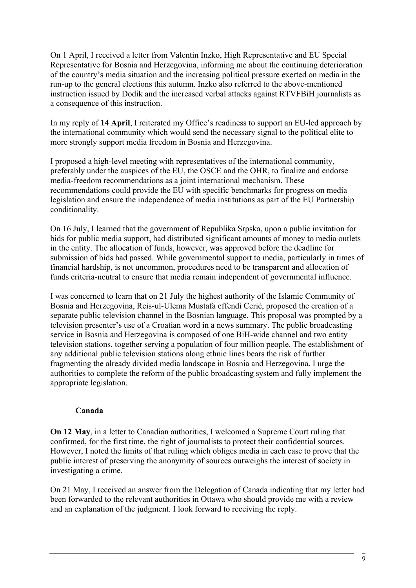On 1 April, I received a letter from Valentin Inzko, High Representative and EU Special Representative for Bosnia and Herzegovina, informing me about the continuing deterioration of the country's media situation and the increasing political pressure exerted on media in the run-up to the general elections this autumn. Inzko also referred to the above-mentioned instruction issued by Dodik and the increased verbal attacks against RTVFBiH journalists as a consequence of this instruction.

In my reply of **14 April**, I reiterated my Office's readiness to support an EU-led approach by the international community which would send the necessary signal to the political elite to more strongly support media freedom in Bosnia and Herzegovina.

I proposed a high-level meeting with representatives of the international community, preferably under the auspices of the EU, the OSCE and the OHR, to finalize and endorse media-freedom recommendations as a joint international mechanism. These recommendations could provide the EU with specific benchmarks for progress on media legislation and ensure the independence of media institutions as part of the EU Partnership conditionality.

On 16 July, I learned that the government of Republika Srpska, upon a public invitation for bids for public media support, had distributed significant amounts of money to media outlets in the entity. The allocation of funds, however, was approved before the deadline for submission of bids had passed. While governmental support to media, particularly in times of financial hardship, is not uncommon, procedures need to be transparent and allocation of funds criteria-neutral to ensure that media remain independent of governmental influence.

I was concerned to learn that on 21 July the highest authority of the Islamic Community of Bosnia and Herzegovina, Reis-ul-Ulema Mustafa effendi Cerić, proposed the creation of a separate public television channel in the Bosnian language. This proposal was prompted by a television presenter's use of a Croatian word in a news summary. The public broadcasting service in Bosnia and Herzegovina is composed of one BiH-wide channel and two entity television stations, together serving a population of four million people. The establishment of any additional public television stations along ethnic lines bears the risk of further fragmenting the already divided media landscape in Bosnia and Herzegovina. I urge the authorities to complete the reform of the public broadcasting system and fully implement the appropriate legislation.

### **Canada**

**On 12 May**, in a letter to Canadian authorities, I welcomed a Supreme Court ruling that confirmed, for the first time, the right of journalists to protect their confidential sources. However, I noted the limits of that ruling which obliges media in each case to prove that the public interest of preserving the anonymity of sources outweighs the interest of society in investigating a crime.

On 21 May, I received an answer from the Delegation of Canada indicating that my letter had been forwarded to the relevant authorities in Ottawa who should provide me with a review and an explanation of the judgment. I look forward to receiving the reply.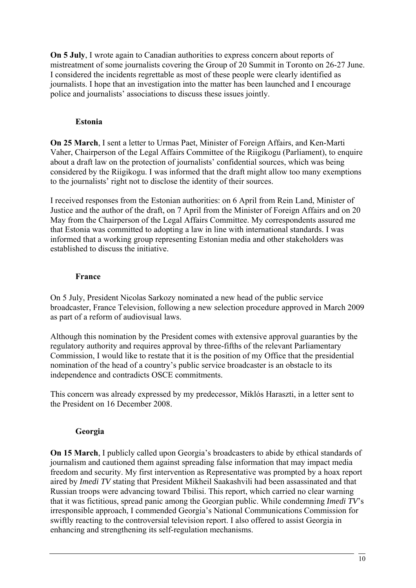**On 5 July**, I wrote again to Canadian authorities to express concern about reports of mistreatment of some journalists covering the Group of 20 Summit in Toronto on 26-27 June. I considered the incidents regrettable as most of these people were clearly identified as journalists. I hope that an investigation into the matter has been launched and I encourage police and journalists' associations to discuss these issues jointly.

### **Estonia**

**On 25 March**, I sent a letter to Urmas Paet, Minister of Foreign Affairs, and Ken-Marti Vaher, Chairperson of the Legal Affairs Committee of the Riigikogu (Parliament), to enquire about a draft law on the protection of journalists' confidential sources, which was being considered by the Riigikogu. I was informed that the draft might allow too many exemptions to the journalists' right not to disclose the identity of their sources.

I received responses from the Estonian authorities: on 6 April from Rein Land, Minister of Justice and the author of the draft, on 7 April from the Minister of Foreign Affairs and on 20 May from the Chairperson of the Legal Affairs Committee. My correspondents assured me that Estonia was committed to adopting a law in line with international standards. I was informed that a working group representing Estonian media and other stakeholders was established to discuss the initiative.

### **France**

On 5 July, President Nicolas Sarkozy nominated a new head of the public service broadcaster, France Television, following a new selection procedure approved in March 2009 as part of a reform of audiovisual laws.

Although this nomination by the President comes with extensive approval guaranties by the regulatory authority and requires approval by three-fifths of the relevant Parliamentary Commission, I would like to restate that it is the position of my Office that the presidential nomination of the head of a country's public service broadcaster is an obstacle to its independence and contradicts OSCE commitments.

This concern was already expressed by my predecessor, Miklós Haraszti, in a letter sent to the President on 16 December 2008.

# **Georgia**

**On 15 March**, I publicly called upon Georgia's broadcasters to abide by ethical standards of journalism and cautioned them against spreading false information that may impact media freedom and security. My first intervention as Representative was prompted by a hoax report aired by *Imedi TV* stating that President Mikheil Saakashvili had been assassinated and that Russian troops were advancing toward Tbilisi. This report, which carried no clear warning that it was fictitious, spread panic among the Georgian public. While condemning *Imedi TV*'s irresponsible approach, I commended Georgia's National Communications Commission for swiftly reacting to the controversial television report. I also offered to assist Georgia in enhancing and strengthening its self-regulation mechanisms.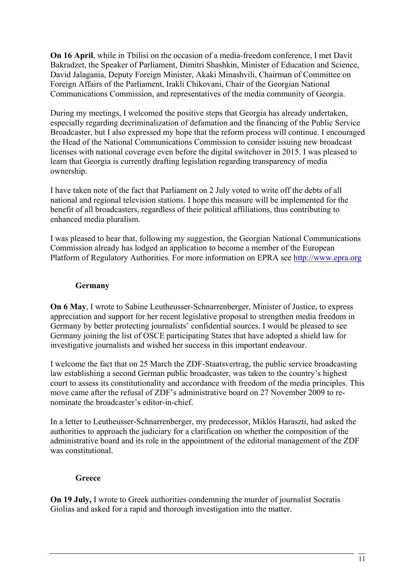**On 16 April**, while in Tbilisi on the occasion of a media-freedom conference, I met Davit Bakradzet, the Speaker of Parliament, Dimitri Shashkin, Minister of Education and Science, David Jalagania, Deputy Foreign Minister, Akaki Minashvili, Chairman of Committee on Foreign Affairs of the Parliament, Irakli Chikovani, Chair of the Georgian National Communications Commission, and representatives of the media community of Georgia.

During my meetings, I welcomed the positive steps that Georgia has already undertaken, especially regarding decriminalization of defamation and the financing of the Public Service Broadcaster, but I also expressed my hope that the reform process will continue. I encouraged the Head of the National Communications Commission to consider issuing new broadcast licenses with national coverage even before the digital switchover in 2015. I was pleased to learn that Georgia is currently drafting legislation regarding transparency of media ownership.

I have taken note of the fact that Parliament on 2 July voted to write off the debts of all national and regional television stations. I hope this measure will be implemented for the benefit of all broadcasters, regardless of their political affiliations, thus contributing to enhanced media pluralism.

I was pleased to hear that, following my suggestion, the Georgian National Communications Commission already has lodged an application to become a member of the European Platform of Regulatory Authorities. For more information on EPRA see [http://www.epra.org](http://www.epra.org/)

### **Germany**

**On 6 May**, I wrote to Sabine Leutheusser-Schnarrenberger, Minister of Justice, to express appreciation and support for her recent legislative proposal to strengthen media freedom in Germany by better protecting journalists' confidential sources. I would be pleased to see Germany joining the list of OSCE participating States that have adopted a shield law for investigative journalists and wished her success in this important endeavour.

I welcome the fact that on 25 March the ZDF-Staatsvertrag, the public service broadcasting law establishing a second German public broadcaster, was taken to the country's highest court to assess its constitutionality and accordance with freedom of the media principles. This move came after the refusal of ZDF's administrative board on 27 November 2009 to renominate the broadcaster's editor-in-chief.

In a letter to Leutheusser-Schnarrenberger, my predecessor, Miklós Haraszti, had asked the authorities to approach the judiciary for a clarification on whether the composition of the administrative board and its role in the appointment of the editorial management of the ZDF was constitutional.

### **Greece**

**On 19 July,** I wrote to Greek authorities condemning the murder of journalist Socratis Giolias and asked for a rapid and thorough investigation into the matter.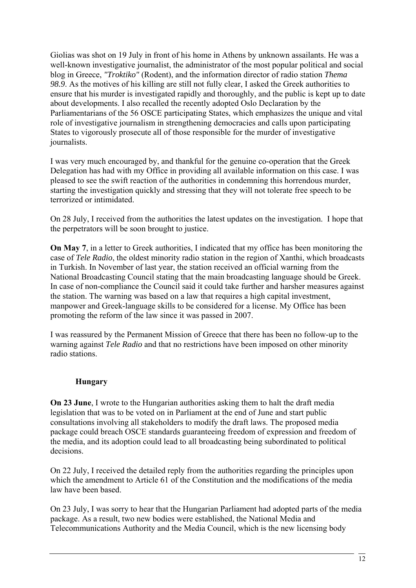Giolias was shot on 19 July in front of his home in Athens by unknown assailants. He was a well-known investigative journalist, the administrator of the most popular political and social blog in Greece, *"Troktiko"* (Rodent), and the information director of radio station *Thema 98.9*. As the motives of his killing are still not fully clear, I asked the Greek authorities to ensure that his murder is investigated rapidly and thoroughly, and the public is kept up to date about developments. I also recalled the recently adopted Oslo Declaration by the Parliamentarians of the 56 OSCE participating States, which emphasizes the unique and vital role of investigative journalism in strengthening democracies and calls upon participating States to vigorously prosecute all of those responsible for the murder of investigative journalists.

I was very much encouraged by, and thankful for the genuine co-operation that the Greek Delegation has had with my Office in providing all available information on this case. I was pleased to see the swift reaction of the authorities in condemning this horrendous murder, starting the investigation quickly and stressing that they will not tolerate free speech to be terrorized or intimidated.

On 28 July, I received from the authorities the latest updates on the investigation. I hope that the perpetrators will be soon brought to justice.

**On May 7**, in a letter to Greek authorities, I indicated that my office has been monitoring the case of *Tele Radio*, the oldest minority radio station in the region of Xanthi, which broadcasts in Turkish. In November of last year, the station received an official warning from the National Broadcasting Council stating that the main broadcasting language should be Greek. In case of non-compliance the Council said it could take further and harsher measures against the station. The warning was based on a law that requires a high capital investment, manpower and Greek-language skills to be considered for a license. My Office has been promoting the reform of the law since it was passed in 2007.

I was reassured by the Permanent Mission of Greece that there has been no follow-up to the warning against *Tele Radio* and that no restrictions have been imposed on other minority radio stations.

### **Hungary**

**On 23 June**, I wrote to the Hungarian authorities asking them to halt the draft media legislation that was to be voted on in Parliament at the end of June and start public consultations involving all stakeholders to modify the draft laws. The proposed media package could breach OSCE standards guaranteeing freedom of expression and freedom of the media, and its adoption could lead to all broadcasting being subordinated to political decisions.

On 22 July, I received the detailed reply from the authorities regarding the principles upon which the amendment to Article 61 of the Constitution and the modifications of the media law have been based.

On 23 July, I was sorry to hear that the Hungarian Parliament had adopted parts of the media package. As a result, two new bodies were established, the National Media and Telecommunications Authority and the Media Council, which is the new licensing body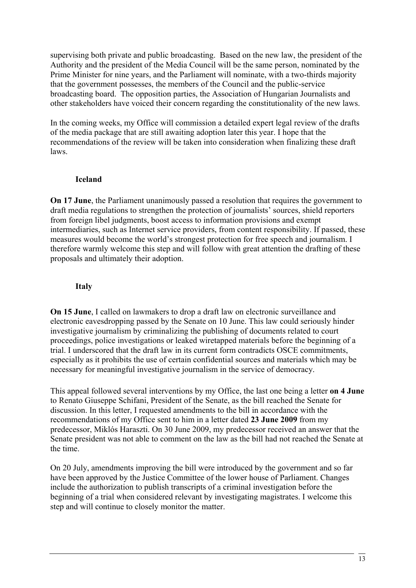supervising both private and public broadcasting. Based on the new law, the president of the Authority and the president of the Media Council will be the same person, nominated by the Prime Minister for nine years, and the Parliament will nominate, with a two-thirds majority that the government possesses, the members of the Council and the public-service broadcasting board. The opposition parties, the Association of Hungarian Journalists and other stakeholders have voiced their concern regarding the constitutionality of the new laws.

In the coming weeks, my Office will commission a detailed expert legal review of the drafts of the media package that are still awaiting adoption later this year. I hope that the recommendations of the review will be taken into consideration when finalizing these draft laws.

### **Iceland**

**On 17 June**, the Parliament unanimously passed a resolution that requires the government to draft media regulations to strengthen the protection of journalists' sources, shield reporters from foreign libel judgments, boost access to information provisions and exempt intermediaries, such as Internet service providers, from content responsibility. If passed, these measures would become the world's strongest protection for free speech and journalism. I therefore warmly welcome this step and will follow with great attention the drafting of these proposals and ultimately their adoption.

### **Italy**

**On 15 June**, I called on lawmakers to drop a draft law on electronic surveillance and electronic eavesdropping passed by the Senate on 10 June. This law could seriously hinder investigative journalism by criminalizing the publishing of documents related to court proceedings, police investigations or leaked wiretapped materials before the beginning of a trial. I underscored that the draft law in its current form contradicts OSCE commitments, especially as it prohibits the use of certain confidential sources and materials which may be necessary for meaningful investigative journalism in the service of democracy.

This appeal followed several interventions by my Office, the last one being a letter **on 4 June**  to Renato Giuseppe Schifani, President of the Senate, as the bill reached the Senate for discussion. In this letter, I requested amendments to the bill in accordance with the recommendations of my Office sent to him in a letter dated **23 June 2009** from my predecessor, Miklós Haraszti. On 30 June 2009, my predecessor received an answer that the Senate president was not able to comment on the law as the bill had not reached the Senate at the time.

On 20 July, amendments improving the bill were introduced by the government and so far have been approved by the Justice Committee of the lower house of Parliament. Changes include the authorization to publish transcripts of a criminal investigation before the beginning of a trial when considered relevant by investigating magistrates. I welcome this step and will continue to closely monitor the matter.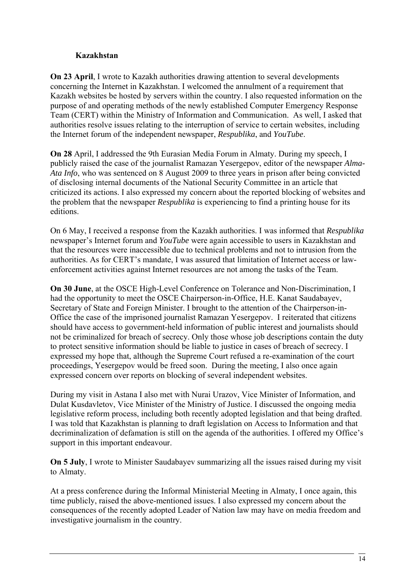### **Kazakhstan**

**On 23 April**, I wrote to Kazakh authorities drawing attention to several developments concerning the Internet in Kazakhstan. I welcomed the annulment of a requirement that Kazakh websites be hosted by servers within the country. I also requested information on the purpose of and operating methods of the newly established Computer Emergency Response Team (CERT) within the Ministry of Information and Communication. As well, I asked that authorities resolve issues relating to the interruption of service to certain websites, including the Internet forum of the independent newspaper, *Respublika*, and *YouTube*.

**On 28** April, I addressed the 9th Eurasian Media Forum in Almaty. During my speech, I publicly raised the case of the journalist Ramazan Yesergepov, editor of the newspaper *Alma-Ata Info*, who was sentenced on 8 August 2009 to three years in prison after being convicted of disclosing internal documents of the National Security Committee in an article that criticized its actions. I also expressed my concern about the reported blocking of websites and the problem that the newspaper *Respublika* is experiencing to find a printing house for its editions.

On 6 May, I received a response from the Kazakh authorities. I was informed that *Respublika* newspaper's Internet forum and *YouTube* were again accessible to users in Kazakhstan and that the resources were inaccessible due to technical problems and not to intrusion from the authorities. As for CERT's mandate, I was assured that limitation of Internet access or lawenforcement activities against Internet resources are not among the tasks of the Team.

**On 30 June**, at the OSCE High-Level Conference on Tolerance and Non-Discrimination, I had the opportunity to meet the OSCE Chairperson-in-Office, H.E. Kanat Saudabayev, Secretary of State and Foreign Minister. I brought to the attention of the Chairperson-in-Office the case of the imprisoned journalist Ramazan Yesergepov. I reiterated that citizens should have access to government-held information of public interest and journalists should not be criminalized for breach of secrecy. Only those whose job descriptions contain the duty to protect sensitive information should be liable to justice in cases of breach of secrecy. I expressed my hope that, although the Supreme Court refused a re-examination of the court proceedings, Yesergepov would be freed soon. During the meeting, I also once again expressed concern over reports on blocking of several independent websites.

During my visit in Astana I also met with Nurai Urazov, Vice Minister of Information, and Dulat Kusdavletov, Vice Minister of the Ministry of Justice. I discussed the ongoing media legislative reform process, including both recently adopted legislation and that being drafted. I was told that Kazakhstan is planning to draft legislation on Access to Information and that decriminalization of defamation is still on the agenda of the authorities. I offered my Office's support in this important endeavour.

**On 5 July**, I wrote to Minister Saudabayev summarizing all the issues raised during my visit to Almaty.

At a press conference during the Informal Ministerial Meeting in Almaty, I once again, this time publicly, raised the above-mentioned issues. I also expressed my concern about the consequences of the recently adopted Leader of Nation law may have on media freedom and investigative journalism in the country.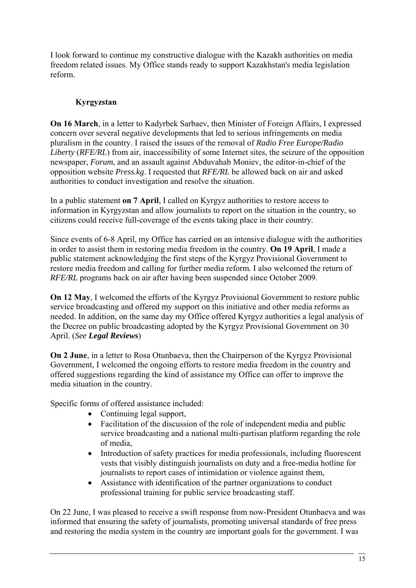I look forward to continue my constructive dialogue with the Kazakh authorities on media freedom related issues. My Office stands ready to support Kazakhstan's media legislation reform.

# **Kyrgyzstan**

**On 16 March**, in a letter to Kadyrbek Sarbaev, then Minister of Foreign Affairs, I expressed concern over several negative developments that led to serious infringements on media pluralism in the country. I raised the issues of the removal of *Radio Free Europe/Radio Liberty* (*RFE/RL*) from air, inaccessibility of some Internet sites, the seizure of the opposition newspaper, *Forum*, and an assault against Abduvahab Moniev, the editor-in-chief of the opposition website *Press.kg*. I requested that *RFE/RL* be allowed back on air and asked authorities to conduct investigation and resolve the situation.

In a public statement **on 7 April**, I called on Kyrgyz authorities to restore access to information in Kyrgyzstan and allow journalists to report on the situation in the country, so citizens could receive full-coverage of the events taking place in their country.

Since events of 6-8 April, my Office has carried on an intensive dialogue with the authorities in order to assist them in restoring media freedom in the country. **On 19 April**, I made a public statement acknowledging the first steps of the Kyrgyz Provisional Government to restore media freedom and calling for further media reform. I also welcomed the return of *RFE/RL* programs back on air after having been suspended since October 2009.

**On 12 May**, I welcomed the efforts of the Kyrgyz Provisional Government to restore public service broadcasting and offered my support on this initiative and other media reforms as needed. In addition, on the same day my Office offered Kyrgyz authorities a legal analysis of the Decree on public broadcasting adopted by the Kyrgyz Provisional Government on 30 April. (*See Legal Reviews*)

**On 2 June**, in a letter to Rosa Otunbaeva, then the Chairperson of the Kyrgyz Provisional Government, I welcomed the ongoing efforts to restore media freedom in the country and offered suggestions regarding the kind of assistance my Office can offer to improve the media situation in the country.

Specific forms of offered assistance included:

- Continuing legal support,
- Facilitation of the discussion of the role of independent media and public service broadcasting and a national multi-partisan platform regarding the role of media,
- Introduction of safety practices for media professionals, including fluorescent vests that visibly distinguish journalists on duty and a free-media hotline for journalists to report cases of intimidation or violence against them,
- Assistance with identification of the partner organizations to conduct professional training for public service broadcasting staff.

On 22 June, I was pleased to receive a swift response from now-President Otunbaeva and was informed that ensuring the safety of journalists, promoting universal standards of free press and restoring the media system in the country are important goals for the government. I was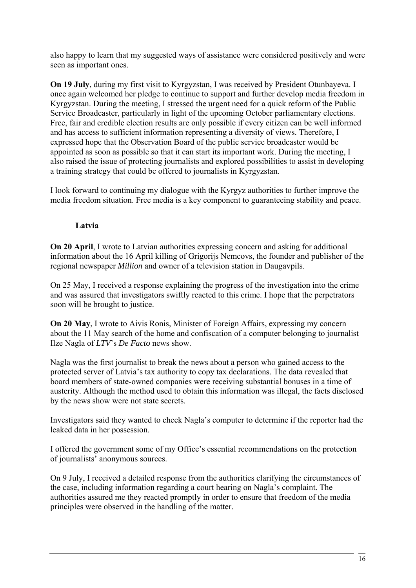also happy to learn that my suggested ways of assistance were considered positively and were seen as important ones.

**On 19 July**, during my first visit to Kyrgyzstan, I was received by President Otunbayeva. I once again welcomed her pledge to continue to support and further develop media freedom in Kyrgyzstan. During the meeting, I stressed the urgent need for a quick reform of the Public Service Broadcaster, particularly in light of the upcoming October parliamentary elections. Free, fair and credible election results are only possible if every citizen can be well informed and has access to sufficient information representing a diversity of views. Therefore, I expressed hope that the Observation Board of the public service broadcaster would be appointed as soon as possible so that it can start its important work. During the meeting, I also raised the issue of protecting journalists and explored possibilities to assist in developing a training strategy that could be offered to journalists in Kyrgyzstan.

I look forward to continuing my dialogue with the Kyrgyz authorities to further improve the media freedom situation. Free media is a key component to guaranteeing stability and peace.

### **Latvia**

**On 20 April**, I wrote to Latvian authorities expressing concern and asking for additional information about the 16 April killing of Grigorijs Nemcovs, the founder and publisher of the regional newspaper *Million* and owner of a television station in Daugavpils.

On 25 May, I received a response explaining the progress of the investigation into the crime and was assured that investigators swiftly reacted to this crime. I hope that the perpetrators soon will be brought to justice.

**On 20 May**, I wrote to Aivis Ronis, Minister of Foreign Affairs, expressing my concern about the 11 May search of the home and confiscation of a computer belonging to journalist Ilze Nagla of *LTV*'s *De Facto* news show.

Nagla was the first journalist to break the news about a person who gained access to the protected server of Latvia's tax authority to copy tax declarations. The data revealed that board members of state-owned companies were receiving substantial bonuses in a time of austerity. Although the method used to obtain this information was illegal, the facts disclosed by the news show were not state secrets.

Investigators said they wanted to check Nagla's computer to determine if the reporter had the leaked data in her possession.

I offered the government some of my Office's essential recommendations on the protection of journalists' anonymous sources.

On 9 July, I received a detailed response from the authorities clarifying the circumstances of the case, including information regarding a court hearing on Nagla's complaint. The authorities assured me they reacted promptly in order to ensure that freedom of the media principles were observed in the handling of the matter.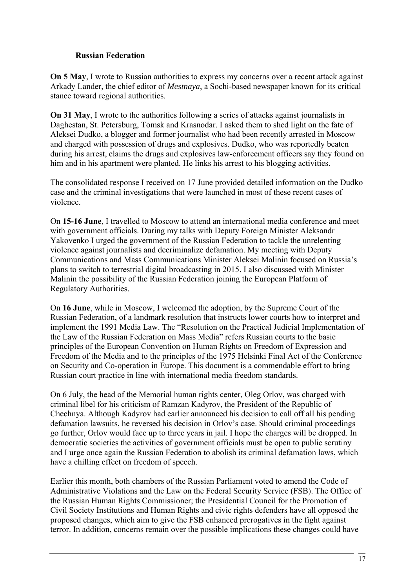### **Russian Federation**

**On 5 May**, I wrote to Russian authorities to express my concerns over a recent attack against Arkady Lander, the chief editor of *Mestnaya*, a Sochi-based newspaper known for its critical stance toward regional authorities.

**On 31 May, I** wrote to the authorities following a series of attacks against journalists in Daghestan, St. Petersburg, Tomsk and Krasnodar. I asked them to shed light on the fate of Aleksei Dudko, a blogger and former journalist who had been recently arrested in Moscow and charged with possession of drugs and explosives. Dudko, who was reportedly beaten during his arrest, claims the drugs and explosives law-enforcement officers say they found on him and in his apartment were planted. He links his arrest to his blogging activities.

The consolidated response I received on 17 June provided detailed information on the Dudko case and the criminal investigations that were launched in most of these recent cases of violence.

On **15-16 June**, I travelled to Moscow to attend an international media conference and meet with government officials. During my talks with Deputy Foreign Minister Aleksandr Yakovenko I urged the government of the Russian Federation to tackle the unrelenting violence against journalists and decriminalize defamation. My meeting with Deputy Communications and Mass Communications Minister Aleksei Malinin focused on Russia's plans to switch to terrestrial digital broadcasting in 2015. I also discussed with Minister Malinin the possibility of the Russian Federation joining the European Platform of Regulatory Authorities.

On **16 June**, while in Moscow, I welcomed the adoption, by the Supreme Court of the Russian Federation, of a landmark resolution that instructs lower courts how to interpret and implement the 1991 Media Law. The "Resolution on the Practical Judicial Implementation of the Law of the Russian Federation on Mass Media" refers Russian courts to the basic principles of the European Convention on Human Rights on Freedom of Expression and Freedom of the Media and to the principles of the 1975 Helsinki Final Act of the Conference on Security and Co-operation in Europe. This document is a commendable effort to bring Russian court practice in line with international media freedom standards.

On 6 July, the head of the Memorial human rights center, Oleg Orlov, was charged with criminal libel for his criticism of Ramzan Kadyrov, the President of the Republic of Chechnya. Although Kadyrov had earlier announced his decision to call off all his pending defamation lawsuits, he reversed his decision in Orlov's case. Should criminal proceedings go further, Orlov would face up to three years in jail. I hope the charges will be dropped. In democratic societies the activities of government officials must be open to public scrutiny and I urge once again the Russian Federation to abolish its criminal defamation laws, which have a chilling effect on freedom of speech.

Earlier this month, both chambers of the Russian Parliament voted to amend the Code of Administrative Violations and the Law on the Federal Security Service (FSB). The Office of the Russian Human Rights Commissioner; the Presidential Council for the Promotion of Civil Society Institutions and Human Rights and civic rights defenders have all opposed the proposed changes, which aim to give the FSB enhanced prerogatives in the fight against terror. In addition, concerns remain over the possible implications these changes could have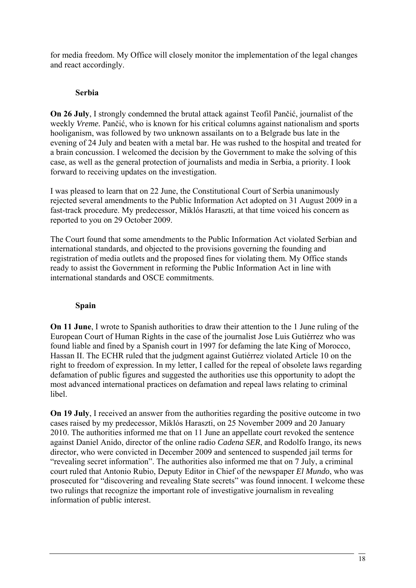for media freedom. My Office will closely monitor the implementation of the legal changes and react accordingly.

### **Serbia**

**On 26 July**, I strongly condemned the brutal attack against Teofil Pančić, journalist of the weekly *Vreme.* Pančić, who is known for his critical columns against nationalism and sports hooliganism, was followed by two unknown assailants on to a Belgrade bus late in the evening of 24 July and beaten with a metal bar. He was rushed to the hospital and treated for a brain concussion. I welcomed the decision by the Government to make the solving of this case, as well as the general protection of journalists and media in Serbia, a priority. I look forward to receiving updates on the investigation.

I was pleased to learn that on 22 June, the Constitutional Court of Serbia unanimously rejected several amendments to the Public Information Act adopted on 31 August 2009 in a fast-track procedure. My predecessor, Miklós Haraszti, at that time voiced his concern as reported to you on 29 October 2009.

The Court found that some amendments to the Public Information Act violated Serbian and international standards, and objected to the provisions governing the founding and registration of media outlets and the proposed fines for violating them. My Office stands ready to assist the Government in reforming the Public Information Act in line with international standards and OSCE commitments.

# **Spain**

**On 11 June**, I wrote to Spanish authorities to draw their attention to the 1 June ruling of the European Court of Human Rights in the case of the journalist Jose Luis Gutiérrez who was found liable and fined by a Spanish court in 1997 for defaming the late King of Morocco, Hassan II. The ECHR ruled that the judgment against Gutiérrez violated Article 10 on the right to freedom of expression. In my letter, I called for the repeal of obsolete laws regarding defamation of public figures and suggested the authorities use this opportunity to adopt the most advanced international practices on defamation and repeal laws relating to criminal libel.

**On 19 July**, I received an answer from the authorities regarding the positive outcome in two cases raised by my predecessor, Miklós Haraszti, on 25 November 2009 and 20 January 2010. The authorities informed me that on 11 June an appellate court revoked the sentence against Daniel Anido, director of the online radio *Cadena SER*, and Rodolfo Irango, its news director, who were convicted in December 2009 and sentenced to suspended jail terms for "revealing secret information". The authorities also informed me that on 7 July, a criminal court ruled that Antonio Rubio, Deputy Editor in Chief of the newspaper *El Mundo*, who was prosecuted for "discovering and revealing State secrets" was found innocent. I welcome these two rulings that recognize the important role of investigative journalism in revealing information of public interest.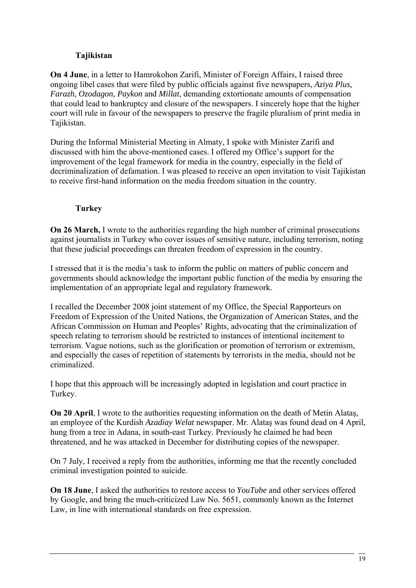### **Tajikistan**

**On 4 June**, in a letter to Hamrokohon Zarifi, Minister of Foreign Affairs, I raised three ongoing libel cases that were filed by public officials against five newspapers, *Aziya Plus, Farazh*, *Ozodagon, Paykon* and *Millat*, demanding extortionate amounts of compensation that could lead to bankruptcy and closure of the newspapers. I sincerely hope that the higher court will rule in favour of the newspapers to preserve the fragile pluralism of print media in Tajikistan.

During the Informal Ministerial Meeting in Almaty, I spoke with Minister Zarifi and discussed with him the above-mentioned cases. I offered my Office's support for the improvement of the legal framework for media in the country, especially in the field of decriminalization of defamation. I was pleased to receive an open invitation to visit Tajikistan to receive first-hand information on the media freedom situation in the country.

# **Turkey**

**On 26 March,** I wrote to the authorities regarding the high number of criminal prosecutions against journalists in Turkey who cover issues of sensitive nature, including terrorism, noting that these judicial proceedings can threaten freedom of expression in the country.

I stressed that it is the media's task to inform the public on matters of public concern and governments should acknowledge the important public function of the media by ensuring the implementation of an appropriate legal and regulatory framework.

I recalled the December 2008 joint statement of my Office, the Special Rapporteurs on Freedom of Expression of the United Nations, the Organization of American States, and the African Commission on Human and Peoples' Rights, advocating that the criminalization of speech relating to terrorism should be restricted to instances of intentional incitement to terrorism. Vague notions, such as the glorification or promotion of terrorism or extremism, and especially the cases of repetition of statements by terrorists in the media, should not be criminalized.

I hope that this approach will be increasingly adopted in legislation and court practice in Turkey.

**On 20 April**, I wrote to the authorities requesting information on the death of Metin Alatas, an employee of the Kurdish *Azadiay Welat* newspaper. Mr. Alataş was found dead on 4 April, hung from a tree in Adana, in south-east Turkey. Previously he claimed he had been threatened, and he was attacked in December for distributing copies of the newspaper.

On 7 July, I received a reply from the authorities, informing me that the recently concluded criminal investigation pointed to suicide.

**On 18 June**, I asked the authorities to restore access to *YouTube* and other services offered by Google, and bring the much-criticized Law No. 5651, commonly known as the Internet Law, in line with international standards on free expression.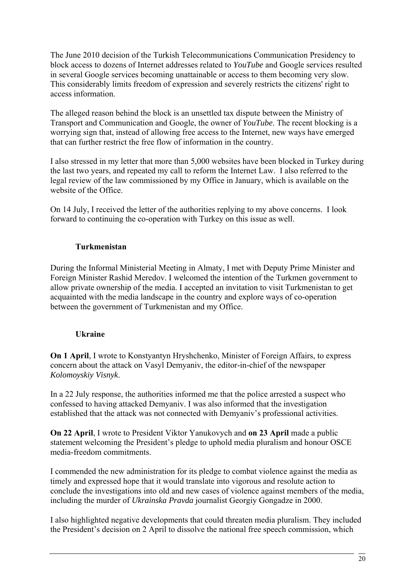The June 2010 decision of the Turkish Telecommunications Communication Presidency to block access to dozens of Internet addresses related to *YouTube* and Google services resulted in several Google services becoming unattainable or access to them becoming very slow. This considerably limits freedom of expression and severely restricts the citizens' right to access information.

The alleged reason behind the block is an unsettled tax dispute between the Ministry of Transport and Communication and Google, the owner of *YouTube*. The recent blocking is a worrying sign that, instead of allowing free access to the Internet, new ways have emerged that can further restrict the free flow of information in the country.

I also stressed in my letter that more than 5,000 websites have been blocked in Turkey during the last two years, and repeated my call to reform the Internet Law. I also referred to the legal review of the law commissioned by my Office in January, which is available on the website of the Office.

On 14 July, I received the letter of the authorities replying to my above concerns. I look forward to continuing the co-operation with Turkey on this issue as well.

# **Turkmenistan**

During the Informal Ministerial Meeting in Almaty, I met with Deputy Prime Minister and Foreign Minister [Rashid Meredov.](http://www.daylife.com/topic/Rashid_Meredov) I welcomed the intention of the Turkmen government to allow private ownership of the media. I accepted an invitation to visit Turkmenistan to get acquainted with the media landscape in the country and explore ways of co-operation between the government of Turkmenistan and my Office.

# **Ukraine**

**On 1 April**, I wrote to Konstyantyn Hryshchenko, Minister of Foreign Affairs, to express concern about the attack on Vasyl Demyaniv, the editor-in-chief of the newspaper *Kolomoyskiy Visnyk*.

In a 22 July response, the authorities informed me that the police arrested a suspect who confessed to having attacked Demyaniv. I was also informed that the investigation established that the attack was not connected with Demyaniv's professional activities.

**On 22 April**, I wrote to President Viktor Yanukovych and **on 23 April** made a public statement welcoming the President's pledge to uphold media pluralism and honour OSCE media-freedom commitments.

I commended the new administration for its pledge to combat violence against the media as timely and expressed hope that it would translate into vigorous and resolute action to conclude the investigations into old and new cases of violence against members of the media, including the murder of *Ukrainska Pravda* journalist Georgiy Gongadze in 2000.

I also highlighted negative developments that could threaten media pluralism. They included the President's decision on 2 April to dissolve the national free speech commission, which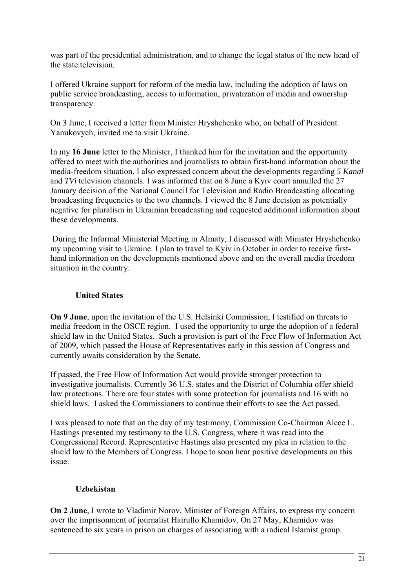was part of the presidential administration, and to change the legal status of the new head of the state television.

I offered Ukraine support for reform of the media law, including the adoption of laws on public service broadcasting, access to information, privatization of media and ownership transparency.

On 3 June, I received a letter from Minister Hryshchenko who, on behalf of President Yanukovych, invited me to visit Ukraine.

In my **16 June** letter to the Minister, I thanked him for the invitation and the opportunity offered to meet with the authorities and journalists to obtain first-hand information about the media-freedom situation. I also expressed concern about the developments regarding *5 Kanal*  and *TVi* television channels. I was informed that on 8 June a Kyiv court annulled the 27 January decision of the National Council for Television and Radio Broadcasting allocating broadcasting frequencies to the two channels. I viewed the 8 June decision as potentially negative for pluralism in Ukrainian broadcasting and requested additional information about these developments.

 During the Informal Ministerial Meeting in Almaty, I discussed with Minister Hryshchenko my upcoming visit to Ukraine. I plan to travel to Kyiv in October in order to receive firsthand information on the developments mentioned above and on the overall media freedom situation in the country.

### **United States**

**On 9 June**, upon the invitation of the U.S. Helsinki Commission, I testified on threats to media freedom in the OSCE region. I used the opportunity to urge the adoption of a federal shield law in the United States. Such a provision is part of the Free Flow of Information Act of 2009, which passed the House of Representatives early in this session of Congress and currently awaits consideration by the Senate.

If passed, the Free Flow of Information Act would provide stronger protection to investigative journalists. Currently 36 U.S. states and the District of Columbia offer shield law protections. There are four states with some protection for journalists and 16 with no shield laws. I asked the Commissioners to continue their efforts to see the Act passed.

I was pleased to note that on the day of my testimony, Commission Co-Chairman Alcee L. Hastings presented my testimony to the U.S. Congress, where it was read into the Congressional Record. Representative Hastings also presented my plea in relation to the shield law to the Members of Congress. I hope to soon hear positive developments on this issue.

### **Uzbekistan**

**On 2 June**, I wrote to Vladimir Norov, Minister of Foreign Affairs, to express my concern over the imprisonment of journalist Hairullo Khamidov. On 27 May, Khamidov was sentenced to six years in prison on charges of associating with a radical Islamist group.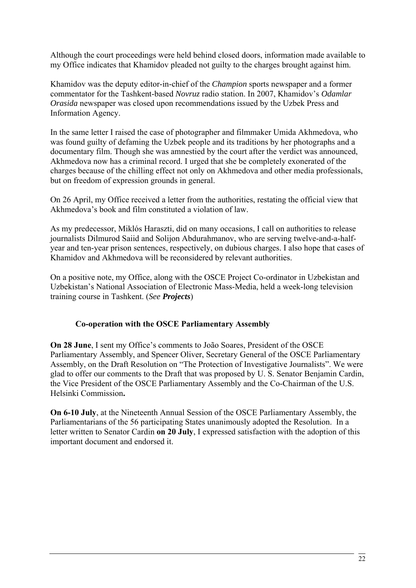Although the court proceedings were held behind closed doors, information made available to my Office indicates that Khamidov pleaded not guilty to the charges brought against him.

Khamidov was the deputy editor-in-chief of the *Champion* sports newspaper and a former commentator for the Tashkent-based *Novruz* radio station. In 2007, Khamidov's *Odamlar Orasida* newspaper was closed upon recommendations issued by the Uzbek Press and Information Agency.

In the same letter I raised the case of photographer and filmmaker Umida Akhmedova, who was found guilty of defaming the Uzbek people and its traditions by her photographs and a documentary film. Though she was amnestied by the court after the verdict was announced, Akhmedova now has a criminal record. I urged that she be completely exonerated of the charges because of the chilling effect not only on Akhmedova and other media professionals, but on freedom of expression grounds in general.

On 26 April, my Office received a letter from the authorities, restating the official view that Akhmedova's book and film constituted a violation of law.

As my predecessor, Miklós Haraszti, did on many occasions, I call on authorities to release journalists Dilmurod Saiid and Solijon Abdurahmanov, who are serving twelve-and-a-halfyear and ten-year prison sentences, respectively, on dubious charges. I also hope that cases of Khamidov and Akhmedova will be reconsidered by relevant authorities.

On a positive note, my Office, along with the OSCE Project Co-ordinator in Uzbekistan and Uzbekistan's National Association of Electronic Mass-Media, held a week-long television training course in Tashkent. (*See Projects*)

### **Co-operation with the OSCE Parliamentary Assembly**

**On 28 June**, I sent my Office's comments to João Soares, President of the OSCE Parliamentary Assembly, and Spencer Oliver, Secretary General of the OSCE Parliamentary Assembly, on the Draft Resolution on "The Protection of Investigative Journalists". We were glad to offer our comments to the Draft that was proposed by U. S. Senator Benjamin Cardin, the Vice President of the OSCE Parliamentary Assembly and the Co-Chairman of the U.S. Helsinki Commission**.** 

**On 6-10 July**, at the Nineteenth Annual Session of the OSCE Parliamentary Assembly, the Parliamentarians of the 56 participating States unanimously adopted the Resolution. In a letter written to Senator Cardin **on 20 July**, I expressed satisfaction with the adoption of this important document and endorsed it.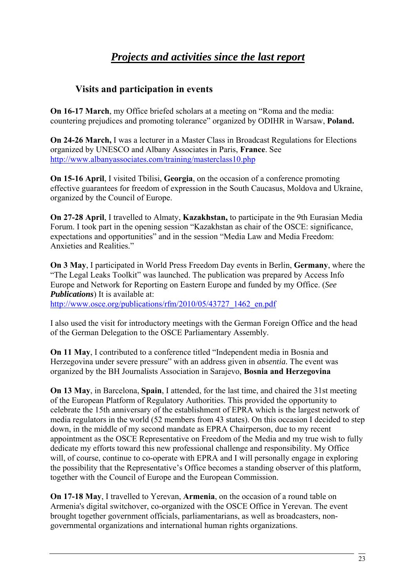# *Projects and activities since the last report*

# **Visits and participation in events**

**On 16-17 March**, my Office briefed scholars at a meeting on "Roma and the media: countering prejudices and promoting tolerance" organized by ODIHR in Warsaw, **Poland.** 

**On 24-26 March,** I was a lecturer in a Master Class in Broadcast Regulations for Elections organized by UNESCO and Albany Associates in Paris, **France**. See <http://www.albanyassociates.com/training/masterclass10.php>

**On 15-16 April**, I visited Tbilisi, **Georgia**, on the occasion of a conference promoting effective guarantees for freedom of expression in the South Caucasus, Moldova and Ukraine, organized by the Council of Europe.

**On 27-28 April**, I travelled to Almaty, **Kazakhstan,** to participate in the 9th Eurasian Media Forum. I took part in the opening session "Kazakhstan as chair of the OSCE: significance, expectations and opportunities" and in the session "Media Law and Media Freedom: Anxieties and Realities."

**On 3 May**, I participated in World Press Freedom Day events in Berlin, **Germany**, where the "The Legal Leaks Toolkit" was launched. The publication was prepared by Access Info Europe and Network for Reporting on Eastern Europe and funded by my Office. (*See Publications*) It is available at:

[http://www.osce.org/publications/rfm/2010/05/43727\\_1462\\_en.pdf](http://www.osce.org/publications/rfm/2010/05/43727_1462_en.pdf)

I also used the visit for introductory meetings with the German Foreign Office and the head of the German Delegation to the OSCE Parliamentary Assembly.

**On 11 May**, I contributed to a conference titled "Independent media in Bosnia and Herzegovina under severe pressure" with an address given in *absentia.* The event was organized by the BH Journalists Association in Sarajevo, **Bosnia and Herzegovina**

**On 13 May**, in Barcelona, **Spain**, I attended, for the last time, and chaired the 31st meeting of the European Platform of Regulatory Authorities. This provided the opportunity to celebrate the 15th anniversary of the establishment of EPRA which is the largest network of media regulators in the world (52 members from 43 states). On this occasion I decided to step down, in the middle of my second mandate as EPRA Chairperson, due to my recent appointment as the OSCE Representative on Freedom of the Media and my true wish to fully dedicate my efforts toward this new professional challenge and responsibility. My Office will, of course, continue to co-operate with EPRA and I will personally engage in exploring the possibility that the Representative's Office becomes a standing observer of this platform, together with the Council of Europe and the European Commission.

**On 17-18 May**, I travelled to Yerevan, **Armenia**, on the occasion of a round table on Armenia's digital switchover, co-organized with the OSCE Office in Yerevan. The event brought together government officials, parliamentarians, as well as broadcasters, nongovernmental organizations and international human rights organizations.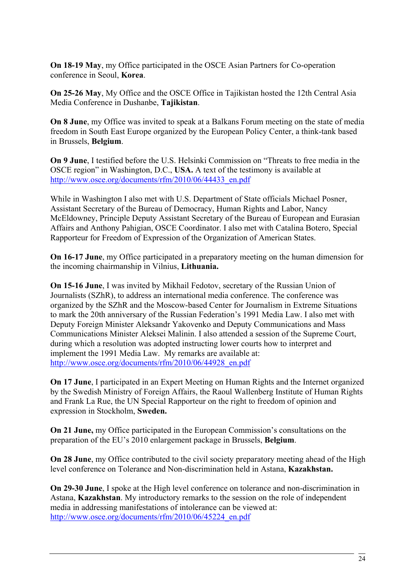**On 18-19 May**, my Office participated in the OSCE Asian Partners for Co-operation conference in Seoul, **Korea**.

**On 25-26 May**, My Office and the OSCE Office in Tajikistan hosted the 12th Central Asia Media Conference in Dushanbe, **Tajikistan**.

**On 8 June**, my Office was invited to speak at a Balkans Forum meeting on the state of media freedom in South East Europe organized by the European Policy Center, a think-tank based in Brussels, **Belgium**.

**On 9 June**, I testified before the U.S. Helsinki Commission on "Threats to free media in the OSCE region" in Washington, D.C., **USA.** A text of the testimony is available at [http://www.osce.org/documents/rfm/2010/06/44433\\_en.pdf](http://www.osce.org/documents/rfm/2010/06/44433_en.pdf)

While in Washington I also met with U.S. Department of State officials Michael Posner, Assistant Secretary of the Bureau of Democracy, Human Rights and Labor, Nancy McEldowney, Principle Deputy Assistant Secretary of the Bureau of European and Eurasian Affairs and Anthony Pahigian, OSCE Coordinator. I also met with Catalina Botero, Special Rapporteur for Freedom of Expression of the Organization of American States.

**On 16-17 June**, my Office participated in a preparatory meeting on the human dimension for the incoming chairmanship in Vilnius, **Lithuania.** 

**On 15-16 June**, I was invited by Mikhail Fedotov, secretary of the Russian Union of Journalists (SZhR), to address an international media conference. The conference was organized by the SZhR and the Moscow-based Center for Journalism in Extreme Situations to mark the 20th anniversary of the Russian Federation's 1991 Media Law. I also met with Deputy Foreign Minister Aleksandr Yakovenko and Deputy Communications and Mass Communications Minister Aleksei Malinin. I also attended a session of the Supreme Court, during which a resolution was adopted instructing lower courts how to interpret and implement the 1991 Media Law. My remarks are available at: [http://www.osce.org/documents/rfm/2010/06/44928\\_en.pdf](http://www.osce.org/documents/rfm/2010/06/44928_en.pdf)

**On 17 June**, I participated in an Expert Meeting on Human Rights and the Internet organized by the Swedish Ministry of Foreign Affairs, the Raoul Wallenberg Institute of Human Rights and Frank La Rue, the UN Special Rapporteur on the right to freedom of opinion and expression in Stockholm, **Sweden.** 

**On 21 June,** my Office participated in the European Commission's consultations on the preparation of the EU's 2010 enlargement package in Brussels, **Belgium**.

**On 28 June**, my Office contributed to the civil society preparatory meeting ahead of the High level conference on Tolerance and Non-discrimination held in Astana, **Kazakhstan.** 

**On 29-30 June**, I spoke at the High level conference on tolerance and non-discrimination in Astana, **Kazakhstan**. My introductory remarks to the session on the role of independent media in addressing manifestations of intolerance can be viewed at: [http://www.osce.org/documents/rfm/2010/06/45224\\_en.pdf](http://www.osce.org/documents/rfm/2010/06/45224_en.pdf)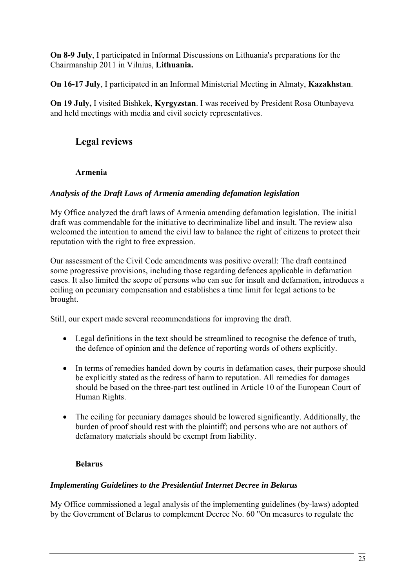**On 8-9 July**, I participated in Informal Discussions on Lithuania's preparations for the Chairmanship 2011 in Vilnius, **Lithuania.**

**On 16-17 July**, I participated in an Informal Ministerial Meeting in Almaty, **Kazakhstan**.

**On 19 July,** I visited Bishkek, **Kyrgyzstan**. I was received by President Rosa Otunbayeva and held meetings with media and civil society representatives.

# **Legal reviews**

# **Armenia**

### *Analysis of the Draft Laws of Armenia amending defamation legislation*

My Office analyzed the draft laws of Armenia amending defamation legislation. The initial draft was commendable for the initiative to decriminalize libel and insult. The review also welcomed the intention to amend the civil law to balance the right of citizens to protect their reputation with the right to free expression.

Our assessment of the Civil Code amendments was positive overall: The draft contained some progressive provisions, including those regarding defences applicable in defamation cases. It also limited the scope of persons who can sue for insult and defamation, introduces a ceiling on pecuniary compensation and establishes a time limit for legal actions to be brought.

Still, our expert made several recommendations for improving the draft.

- Legal definitions in the text should be streamlined to recognise the defence of truth, the defence of opinion and the defence of reporting words of others explicitly.
- In terms of remedies handed down by courts in defamation cases, their purpose should be explicitly stated as the redress of harm to reputation. All remedies for damages should be based on the three-part test outlined in Article 10 of the European Court of Human Rights.
- The ceiling for pecuniary damages should be lowered significantly. Additionally, the burden of proof should rest with the plaintiff; and persons who are not authors of defamatory materials should be exempt from liability.

# **Belarus**

# *Implementing Guidelines to the Presidential Internet Decree in Belarus*

My Office commissioned a legal analysis of the implementing guidelines (by-laws) adopted by the Government of Belarus to complement Decree No. 60 "On measures to regulate the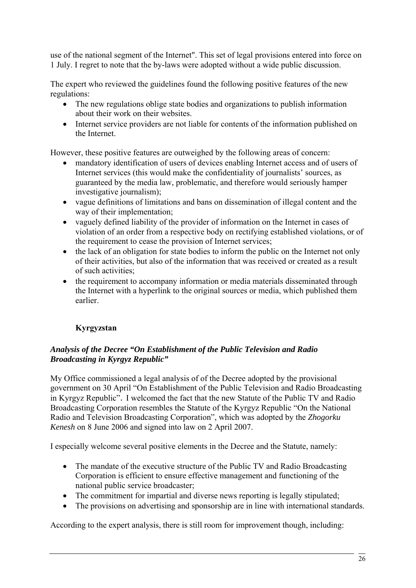use of the national segment of the Internet". This set of legal provisions entered into force on 1 July. I regret to note that the by-laws were adopted without a wide public discussion.

The expert who reviewed the guidelines found the following positive features of the new regulations:

- The new regulations oblige state bodies and organizations to publish information about their work on their websites.
- Internet service providers are not liable for contents of the information published on the Internet.

However, these positive features are outweighed by the following areas of concern:

- mandatory identification of users of devices enabling Internet access and of users of Internet services (this would make the confidentiality of journalists' sources, as guaranteed by the media law, problematic, and therefore would seriously hamper investigative journalism);
- vague definitions of limitations and bans on dissemination of illegal content and the way of their implementation;
- vaguely defined liability of the provider of information on the Internet in cases of violation of an order from a respective body on rectifying established violations, or of the requirement to cease the provision of Internet services;
- the lack of an obligation for state bodies to inform the public on the Internet not only of their activities, but also of the information that was received or created as a result of such activities;
- the requirement to accompany information or media materials disseminated through the Internet with a hyperlink to the original sources or media, which published them earlier.

# **Kyrgyzstan**

# *Analysis of the Decree "On Establishment of the Public Television and Radio Broadcasting in Kyrgyz Republic"*

My Office commissioned a legal analysis of of the Decree adopted by the provisional government on 30 April "On Establishment of the Public Television and Radio Broadcasting in Kyrgyz Republic". I welcomed the fact that the new Statute of the Public TV and Radio Broadcasting Corporation resembles the Statute of the Kyrgyz Republic "On the National Radio and Television Broadcasting Corporation", which was adopted by the *Zhogorku Kenesh* on 8 June 2006 and signed into law on 2 April 2007.

I especially welcome several positive elements in the Decree and the Statute, namely:

- The mandate of the executive structure of the Public TV and Radio Broadcasting Corporation is efficient to ensure effective management and functioning of the national public service broadcaster;
- The commitment for impartial and diverse news reporting is legally stipulated;
- The provisions on advertising and sponsorship are in line with international standards.

According to the expert analysis, there is still room for improvement though, including: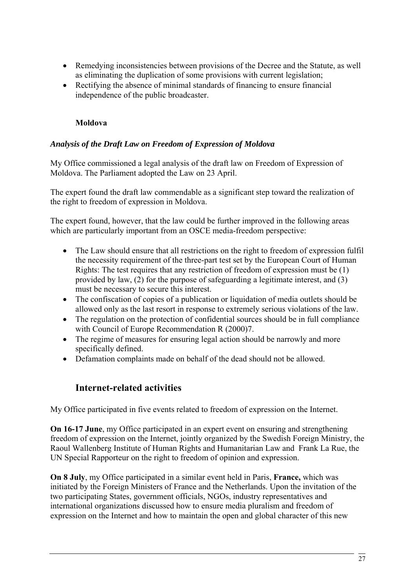- Remedying inconsistencies between provisions of the Decree and the Statute, as well as eliminating the duplication of some provisions with current legislation;
- Rectifying the absence of minimal standards of financing to ensure financial independence of the public broadcaster.

# **Moldova**

### *Analysis of the Draft Law on Freedom of Expression of Moldova*

My Office commissioned a legal analysis of the draft law on Freedom of Expression of Moldova. The Parliament adopted the Law on 23 April.

The expert found the draft law commendable as a significant step toward the realization of the right to freedom of expression in Moldova.

The expert found, however, that the law could be further improved in the following areas which are particularly important from an OSCE media-freedom perspective:

- The Law should ensure that all restrictions on the right to freedom of expression fulfil the necessity requirement of the three-part test set by the European Court of Human Rights: The test requires that any restriction of freedom of expression must be (1) provided by law, (2) for the purpose of safeguarding a legitimate interest, and (3) must be necessary to secure this interest.
- The confiscation of copies of a publication or liquidation of media outlets should be allowed only as the last resort in response to extremely serious violations of the law.
- The regulation on the protection of confidential sources should be in full compliance with Council of Europe Recommendation R (2000)7.
- The regime of measures for ensuring legal action should be narrowly and more specifically defined.
- Defamation complaints made on behalf of the dead should not be allowed.

# **Internet-related activities**

My Office participated in five events related to freedom of expression on the Internet.

**On 16-17 June**, my Office participated in an expert event on ensuring and strengthening freedom of expression on the Internet, jointly organized by the Swedish Foreign Ministry, the Raoul Wallenberg Institute of Human Rights and Humanitarian Law and Frank La Rue, the UN Special Rapporteur on the right to freedom of opinion and expression.

**On 8 July**, my Office participated in a similar event held in Paris, **France,** which was initiated by the Foreign Ministers of France and the Netherlands. Upon the invitation of the two participating States, government officials, NGOs, industry representatives and international organizations discussed how to ensure media pluralism and freedom of expression on the Internet and how to maintain the open and global character of this new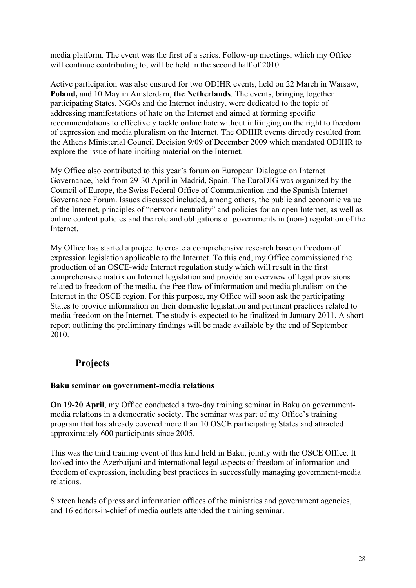media platform. The event was the first of a series. Follow-up meetings, which my Office will continue contributing to, will be held in the second half of 2010.

Active participation was also ensured for two ODIHR events, held on 22 March in Warsaw, **Poland,** and 10 May in Amsterdam, **the Netherlands**. The events, bringing together participating States, NGOs and the Internet industry, were dedicated to the topic of addressing manifestations of hate on the Internet and aimed at forming specific recommendations to effectively tackle online hate without infringing on the right to freedom of expression and media pluralism on the Internet. The ODIHR events directly resulted from the Athens Ministerial Council Decision 9/09 of December 2009 which mandated ODIHR to explore the issue of hate-inciting material on the Internet.

My Office also contributed to this year's forum on European Dialogue on Internet Governance, held from 29-30 April in Madrid, Spain. The EuroDIG was organized by the Council of Europe, the Swiss Federal Office of Communication and the Spanish Internet Governance Forum. Issues discussed included, among others, the public and economic value of the Internet, principles of "network neutrality" and policies for an open Internet, as well as online content policies and the role and obligations of governments in (non-) regulation of the Internet.

My Office has started a project to create a comprehensive research base on freedom of expression legislation applicable to the Internet. To this end, my Office commissioned the production of an OSCE-wide Internet regulation study which will result in the first comprehensive matrix on Internet legislation and provide an overview of legal provisions related to freedom of the media, the free flow of information and media pluralism on the Internet in the OSCE region. For this purpose, my Office will soon ask the participating States to provide information on their domestic legislation and pertinent practices related to media freedom on the Internet. The study is expected to be finalized in January 2011. A short report outlining the preliminary findings will be made available by the end of September 2010.

# **Projects**

### **Baku seminar on government-media relations**

**On 19-20 April**, my Office conducted a two-day training seminar in Baku on governmentmedia relations in a democratic society. The seminar was part of my Office's training program that has already covered more than 10 OSCE participating States and attracted approximately 600 participants since 2005.

This was the third training event of this kind held in Baku, jointly with the OSCE Office. It looked into the Azerbaijani and international legal aspects of freedom of information and freedom of expression, including best practices in successfully managing government-media relations.

Sixteen heads of press and information offices of the ministries and government agencies, and 16 editors-in-chief of media outlets attended the training seminar.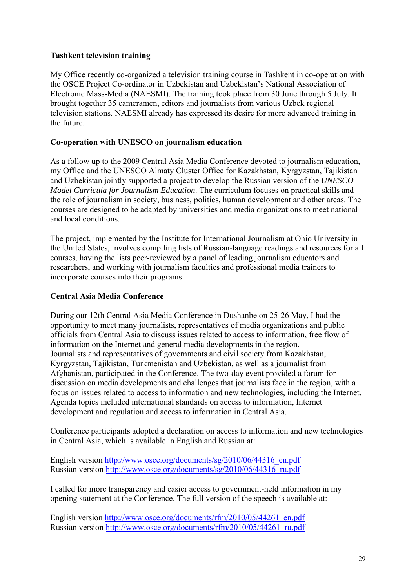### **Tashkent television training**

My Office recently co-organized a television training course in Tashkent in co-operation with the OSCE Project Co-ordinator in Uzbekistan and Uzbekistan's National Association of Electronic Mass-Media (NAESMI). The training took place from 30 June through 5 July. It brought together 35 cameramen, editors and journalists from various Uzbek regional television stations. NAESMI already has expressed its desire for more advanced training in the future.

### **Co-operation with UNESCO on journalism education**

As a follow up to the 2009 Central Asia Media Conference devoted to journalism education, my Office and the UNESCO Almaty Cluster Office for Kazakhstan, Kyrgyzstan, Tajikistan and Uzbekistan jointly supported a project to develop the Russian version of the *UNESCO Model Curricula for Journalism Education*. The curriculum focuses on practical skills and the role of journalism in society, business, politics, human development and other areas. The courses are designed to be adapted by universities and media organizations to meet national and local conditions.

The project, implemented by the Institute for International Journalism at Ohio University in the United States, involves compiling lists of Russian-language readings and resources for all courses, having the lists peer-reviewed by a panel of leading journalism educators and researchers, and working with journalism faculties and professional media trainers to incorporate courses into their programs.

### **Central Asia Media Conference**

During our 12th Central Asia Media Conference in Dushanbe on 25-26 May, I had the opportunity to meet many journalists, representatives of media organizations and public officials from Central Asia to discuss issues related to access to information, free flow of information on the Internet and general media developments in the region. Journalists and representatives of governments and civil society from Kazakhstan, Kyrgyzstan, Tajikistan, Turkmenistan and Uzbekistan, as well as a journalist from Afghanistan, participated in the Conference. The two-day event provided a forum for discussion on media developments and challenges that journalists face in the region, with a focus on issues related to access to information and new technologies, including the Internet. Agenda topics included international standards on access to information, Internet development and regulation and access to information in Central Asia.

Conference participants adopted a declaration on access to information and new technologies in Central Asia, which is available in English and Russian at:

English version [http://www.osce.org/documents/sg/2010/06/44316\\_en.pdf](http://www.osce.org/documents/sg/2010/06/44316_en.pdf) Russian version [http://www.osce.org/documents/sg/2010/06/44316\\_ru.pdf](http://www.osce.org/documents/sg/2010/06/44316_ru.pdf)

I called for more transparency and easier access to government-held information in my opening statement at the Conference. The full version of the speech is available at:

English version [http://www.osce.org/documents/rfm/2010/05/44261\\_en.pdf](http://www.osce.org/documents/rfm/2010/05/44261_en.pdf) Russian version [http://www.osce.org/documents/rfm/2010/05/44261\\_ru.pdf](http://www.osce.org/documents/rfm/2010/05/44261_ru.pdf)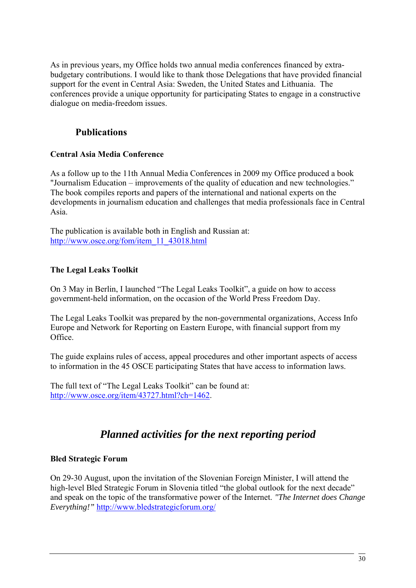As in previous years, my Office holds two annual media conferences financed by extrabudgetary contributions. I would like to thank those Delegations that have provided financial support for the event in Central Asia: Sweden, the United States and Lithuania. The conferences provide a unique opportunity for participating States to engage in a constructive dialogue on media-freedom issues.

# **Publications**

### **Central Asia Media Conference**

As a follow up to the 11th Annual Media Conferences in 2009 my Office produced a book "Journalism Education – improvements of the quality of education and new technologies." The book compiles reports and papers of the international and national experts on the developments in journalism education and challenges that media professionals face in Central Asia.

The publication is available both in English and Russian at: [http://www.osce.org/fom/item\\_11\\_43018.html](http://www.osce.org/fom/item_11_43018.html)

# **The Legal Leaks Toolkit**

On 3 May in Berlin, I launched "The Legal Leaks Toolkit", a guide on how to access government-held information, on the occasion of the World Press Freedom Day.

The Legal Leaks Toolkit was prepared by the non-governmental organizations, Access Info Europe and Network for Reporting on Eastern Europe, with financial support from my Office.

The guide explains rules of access, appeal procedures and other important aspects of access to information in the 45 OSCE participating States that have access to information laws.

The full text of "The Legal Leaks Toolkit" can be found at: <http://www.osce.org/item/43727.html?ch=1462>.

# *Planned activities for the next reporting period*

### **Bled Strategic Forum**

On 29-30 August, upon the invitation of the Slovenian Foreign Minister, I will attend the high-level Bled Strategic Forum in Slovenia titled "the global outlook for the next decade" and speak on the topic of the transformative power of the Internet. *"The Internet does Change Everything!"* <http://www.bledstrategicforum.org/>